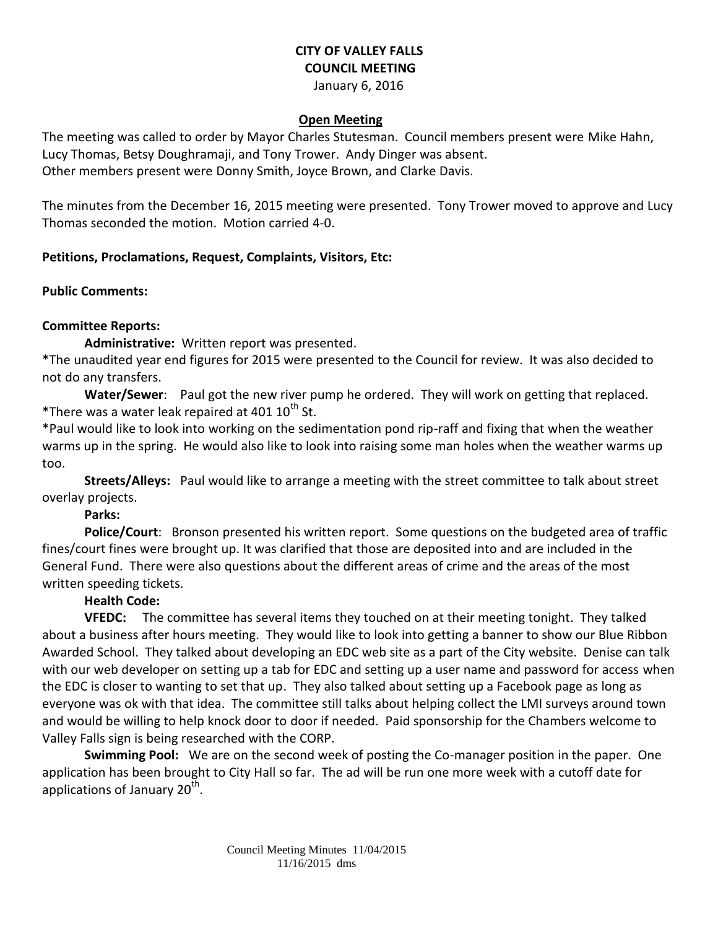# **CITY OF VALLEY FALLS COUNCIL MEETING**

January 6, 2016

#### **Open Meeting**

The meeting was called to order by Mayor Charles Stutesman. Council members present were Mike Hahn, Lucy Thomas, Betsy Doughramaji, and Tony Trower. Andy Dinger was absent. Other members present were Donny Smith, Joyce Brown, and Clarke Davis.

The minutes from the December 16, 2015 meeting were presented. Tony Trower moved to approve and Lucy Thomas seconded the motion. Motion carried 4-0.

### **Petitions, Proclamations, Request, Complaints, Visitors, Etc:**

#### **Public Comments:**

# **Committee Reports:**

**Administrative:** Written report was presented.

\*The unaudited year end figures for 2015 were presented to the Council for review. It was also decided to not do any transfers.

**Water/Sewer**: Paul got the new river pump he ordered. They will work on getting that replaced. \*There was a water leak repaired at 401  $10^{th}$  St.

\*Paul would like to look into working on the sedimentation pond rip-raff and fixing that when the weather warms up in the spring. He would also like to look into raising some man holes when the weather warms up too.

**Streets/Alleys:** Paul would like to arrange a meeting with the street committee to talk about street overlay projects.

### **Parks:**

**Police/Court**: Bronson presented his written report. Some questions on the budgeted area of traffic fines/court fines were brought up. It was clarified that those are deposited into and are included in the General Fund. There were also questions about the different areas of crime and the areas of the most written speeding tickets.

### **Health Code:**

**VFEDC:** The committee has several items they touched on at their meeting tonight. They talked about a business after hours meeting. They would like to look into getting a banner to show our Blue Ribbon Awarded School. They talked about developing an EDC web site as a part of the City website. Denise can talk with our web developer on setting up a tab for EDC and setting up a user name and password for access when the EDC is closer to wanting to set that up. They also talked about setting up a Facebook page as long as everyone was ok with that idea. The committee still talks about helping collect the LMI surveys around town and would be willing to help knock door to door if needed. Paid sponsorship for the Chambers welcome to Valley Falls sign is being researched with the CORP.

**Swimming Pool:** We are on the second week of posting the Co-manager position in the paper. One application has been brought to City Hall so far. The ad will be run one more week with a cutoff date for applications of January 20<sup>th</sup>.